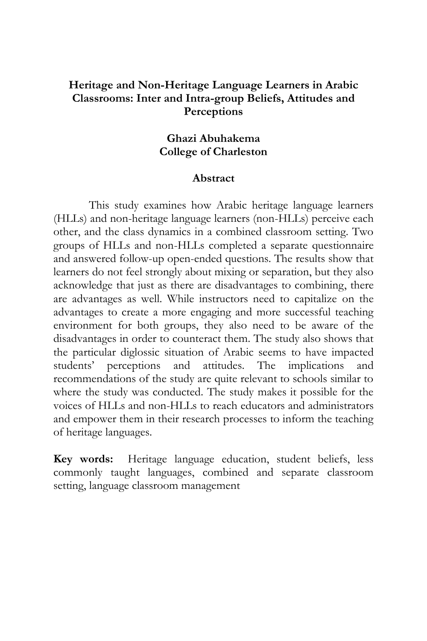## **Heritage and Non-Heritage Language Learners in Arabic Classrooms: Inter and Intra-group Beliefs, Attitudes and Perceptions**

### **Ghazi Abuhakema College of Charleston**

### **Abstract**

This study examines how Arabic heritage language learners (HLLs) and non-heritage language learners (non-HLLs) perceive each other, and the class dynamics in a combined classroom setting. Two groups of HLLs and non-HLLs completed a separate questionnaire and answered follow-up open-ended questions. The results show that learners do not feel strongly about mixing or separation, but they also acknowledge that just as there are disadvantages to combining, there are advantages as well. While instructors need to capitalize on the advantages to create a more engaging and more successful teaching environment for both groups, they also need to be aware of the disadvantages in order to counteract them. The study also shows that the particular diglossic situation of Arabic seems to have impacted students' perceptions and attitudes. The implications and recommendations of the study are quite relevant to schools similar to where the study was conducted. The study makes it possible for the voices of HLLs and non-HLLs to reach educators and administrators and empower them in their research processes to inform the teaching of heritage languages.

**Key words:** Heritage language education, student beliefs, less commonly taught languages, combined and separate classroom setting, language classroom management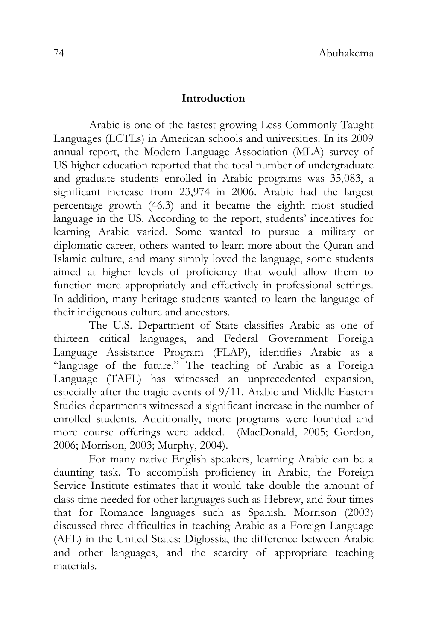### **Introduction**

Arabic is one of the fastest growing Less Commonly Taught Languages (LCTLs) in American schools and universities. In its 2009 annual report, the Modern Language Association (MLA) survey of US higher education reported that the total number of undergraduate and graduate students enrolled in Arabic programs was 35,083, a significant increase from 23,974 in 2006. Arabic had the largest percentage growth (46.3) and it became the eighth most studied language in the US. According to the report, students' incentives for learning Arabic varied. Some wanted to pursue a military or diplomatic career, others wanted to learn more about the Quran and Islamic culture, and many simply loved the language, some students aimed at higher levels of proficiency that would allow them to function more appropriately and effectively in professional settings. In addition, many heritage students wanted to learn the language of their indigenous culture and ancestors.

The U.S. Department of State classifies Arabic as one of thirteen critical languages, and Federal Government Foreign Language Assistance Program (FLAP), identifies Arabic as a "language of the future." The teaching of Arabic as a Foreign Language (TAFL) has witnessed an unprecedented expansion, especially after the tragic events of 9/11. Arabic and Middle Eastern Studies departments witnessed a significant increase in the number of enrolled students. Additionally, more programs were founded and more course offerings were added. (MacDonald, 2005; Gordon, 2006; Morrison, 2003; Murphy, 2004).

For many native English speakers, learning Arabic can be a daunting task. To accomplish proficiency in Arabic, the Foreign Service Institute estimates that it would take double the amount of class time needed for other languages such as Hebrew, and four times that for Romance languages such as Spanish. Morrison (2003) discussed three difficulties in teaching Arabic as a Foreign Language (AFL) in the United States: Diglossia, the difference between Arabic and other languages, and the scarcity of appropriate teaching materials.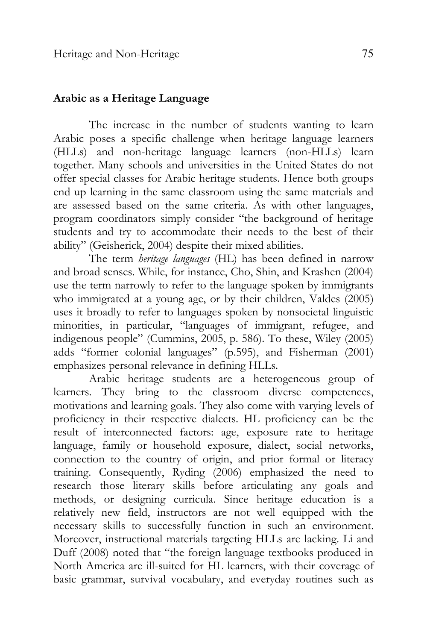### **Arabic as a Heritage Language**

The increase in the number of students wanting to learn Arabic poses a specific challenge when heritage language learners (HLLs) and non-heritage language learners (non-HLLs) learn together. Many schools and universities in the United States do not offer special classes for Arabic heritage students. Hence both groups end up learning in the same classroom using the same materials and are assessed based on the same criteria. As with other languages, program coordinators simply consider "the background of heritage students and try to accommodate their needs to the best of their ability" (Geisherick, 2004) despite their mixed abilities.

The term *heritage languages* (HL) has been defined in narrow and broad senses. While, for instance, Cho, Shin, and Krashen (2004) use the term narrowly to refer to the language spoken by immigrants who immigrated at a young age, or by their children, Valdes (2005) uses it broadly to refer to languages spoken by nonsocietal linguistic minorities, in particular, "languages of immigrant, refugee, and indigenous people" (Cummins, 2005, p. 586). To these, Wiley (2005) adds "former colonial languages" (p.595), and Fisherman (2001) emphasizes personal relevance in defining HLLs.

Arabic heritage students are a heterogeneous group of learners. They bring to the classroom diverse competences, motivations and learning goals. They also come with varying levels of proficiency in their respective dialects. HL proficiency can be the result of interconnected factors: age, exposure rate to heritage language, family or household exposure, dialect, social networks, connection to the country of origin, and prior formal or literacy training. Consequently, Ryding (2006) emphasized the need to research those literary skills before articulating any goals and methods, or designing curricula. Since heritage education is a relatively new field, instructors are not well equipped with the necessary skills to successfully function in such an environment. Moreover, instructional materials targeting HLLs are lacking. Li and Duff (2008) noted that "the foreign language textbooks produced in North America are ill-suited for HL learners, with their coverage of basic grammar, survival vocabulary, and everyday routines such as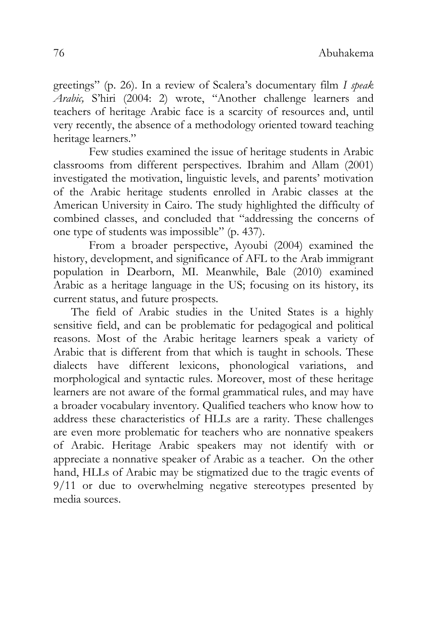greetings" (p. 26). In a review of Scalera's documentary film *I speak Arabic,* S'hiri (2004: 2) wrote, "Another challenge learners and teachers of heritage Arabic face is a scarcity of resources and, until very recently, the absence of a methodology oriented toward teaching heritage learners."

Few studies examined the issue of heritage students in Arabic classrooms from different perspectives. Ibrahim and Allam (2001) investigated the motivation, linguistic levels, and parents' motivation of the Arabic heritage students enrolled in Arabic classes at the American University in Cairo. The study highlighted the difficulty of combined classes, and concluded that "addressing the concerns of one type of students was impossible" (p. 437).

From a broader perspective, Ayoubi (2004) examined the history, development, and significance of AFL to the Arab immigrant population in Dearborn, MI. Meanwhile, Bale (2010) examined Arabic as a heritage language in the US; focusing on its history, its current status, and future prospects.

The field of Arabic studies in the United States is a highly sensitive field, and can be problematic for pedagogical and political reasons. Most of the Arabic heritage learners speak a variety of Arabic that is different from that which is taught in schools. These dialects have different lexicons, phonological variations, and morphological and syntactic rules. Moreover, most of these heritage learners are not aware of the formal grammatical rules, and may have a broader vocabulary inventory. Qualified teachers who know how to address these characteristics of HLLs are a rarity. These challenges are even more problematic for teachers who are nonnative speakers of Arabic. Heritage Arabic speakers may not identify with or appreciate a nonnative speaker of Arabic as a teacher. On the other hand, HLLs of Arabic may be stigmatized due to the tragic events of 9/11 or due to overwhelming negative stereotypes presented by media sources.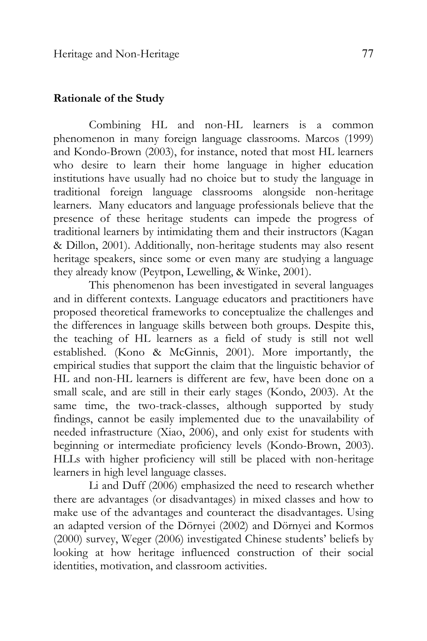### **Rationale of the Study**

Combining HL and non-HL learners is a common phenomenon in many foreign language classrooms. Marcos (1999) and Kondo-Brown (2003), for instance, noted that most HL learners who desire to learn their home language in higher education institutions have usually had no choice but to study the language in traditional foreign language classrooms alongside non-heritage learners. Many educators and language professionals believe that the presence of these heritage students can impede the progress of traditional learners by intimidating them and their instructors (Kagan & Dillon, 2001). Additionally, non-heritage students may also resent heritage speakers, since some or even many are studying a language they already know (Peytpon, Lewelling, & Winke, 2001).

This phenomenon has been investigated in several languages and in different contexts. Language educators and practitioners have proposed theoretical frameworks to conceptualize the challenges and the differences in language skills between both groups. Despite this, the teaching of HL learners as a field of study is still not well established. (Kono & McGinnis, 2001). More importantly, the empirical studies that support the claim that the linguistic behavior of HL and non-HL learners is different are few, have been done on a small scale, and are still in their early stages (Kondo, 2003). At the same time, the two-track-classes, although supported by study findings, cannot be easily implemented due to the unavailability of needed infrastructure (Xiao, 2006), and only exist for students with beginning or intermediate proficiency levels (Kondo-Brown, 2003). HLLs with higher proficiency will still be placed with non-heritage learners in high level language classes.

Li and Duff (2006) emphasized the need to research whether there are advantages (or disadvantages) in mixed classes and how to make use of the advantages and counteract the disadvantages. Using an adapted version of the Dörnyei (2002) and Dörnyei and Kormos (2000) survey, Weger (2006) investigated Chinese students' beliefs by looking at how heritage influenced construction of their social identities, motivation, and classroom activities.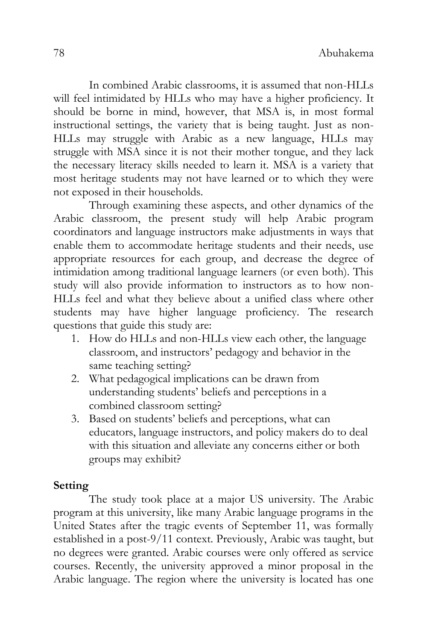In combined Arabic classrooms, it is assumed that non-HLLs will feel intimidated by HLLs who may have a higher proficiency. It should be borne in mind, however, that MSA is, in most formal instructional settings, the variety that is being taught. Just as non-HLLs may struggle with Arabic as a new language, HLLs may struggle with MSA since it is not their mother tongue, and they lack the necessary literacy skills needed to learn it. MSA is a variety that most heritage students may not have learned or to which they were not exposed in their households.

Through examining these aspects, and other dynamics of the Arabic classroom, the present study will help Arabic program coordinators and language instructors make adjustments in ways that enable them to accommodate heritage students and their needs, use appropriate resources for each group, and decrease the degree of intimidation among traditional language learners (or even both). This study will also provide information to instructors as to how non-HLLs feel and what they believe about a unified class where other students may have higher language proficiency. The research questions that guide this study are:

- 1. How do HLLs and non-HLLs view each other, the language classroom, and instructors' pedagogy and behavior in the same teaching setting?
- 2. What pedagogical implications can be drawn from understanding students' beliefs and perceptions in a combined classroom setting?
- 3. Based on students' beliefs and perceptions, what can educators, language instructors, and policy makers do to deal with this situation and alleviate any concerns either or both groups may exhibit?

# **Setting**

The study took place at a major US university. The Arabic program at this university, like many Arabic language programs in the United States after the tragic events of September 11, was formally established in a post-9/11 context. Previously, Arabic was taught, but no degrees were granted. Arabic courses were only offered as service courses. Recently, the university approved a minor proposal in the Arabic language. The region where the university is located has one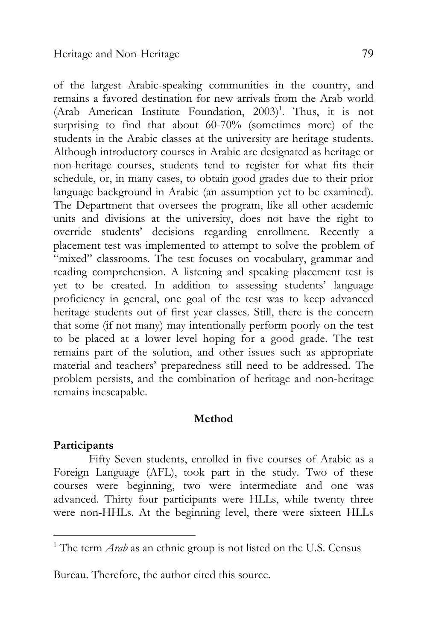of the largest Arabic-speaking communities in the country, and remains a favored destination for new arrivals from the Arab world (Arab American Institute Foundation,  $2003$ <sup>1</sup>. Thus, it is not surprising to find that about 60-70% (sometimes more) of the students in the Arabic classes at the university are heritage students. Although introductory courses in Arabic are designated as heritage or non-heritage courses, students tend to register for what fits their schedule, or, in many cases, to obtain good grades due to their prior language background in Arabic (an assumption yet to be examined). The Department that oversees the program, like all other academic units and divisions at the university, does not have the right to override students' decisions regarding enrollment. Recently a placement test was implemented to attempt to solve the problem of "mixed" classrooms. The test focuses on vocabulary, grammar and reading comprehension. A listening and speaking placement test is yet to be created. In addition to assessing students' language proficiency in general, one goal of the test was to keep advanced heritage students out of first year classes. Still, there is the concern that some (if not many) may intentionally perform poorly on the test to be placed at a lower level hoping for a good grade. The test remains part of the solution, and other issues such as appropriate material and teachers' preparedness still need to be addressed. The problem persists, and the combination of heritage and non-heritage remains inescapable.

### **Method**

#### **Participants**

 $\overline{a}$ 

Fifty Seven students, enrolled in five courses of Arabic as a Foreign Language (AFL), took part in the study. Two of these courses were beginning, two were intermediate and one was advanced. Thirty four participants were HLLs, while twenty three were non-HHLs. At the beginning level, there were sixteen HLLs

Bureau. Therefore, the author cited this source.

<sup>&</sup>lt;sup>1</sup> The term *Arab* as an ethnic group is not listed on the U.S. Census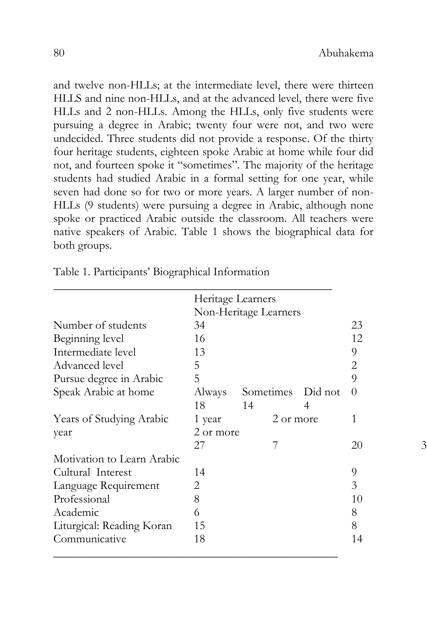and twelve non-HLLs; at the intermediate level, there were thirteen HLLS and nine non-HLLs, and at the advanced level, there were five HLLs and 2 non-HLLs. Among the HLLs, only five students were pursuing a degree in Arabic; twenty four were not, and two were undecided. Three students did not provide a response. Of the thirty four heritage students, eighteen spoke Arabic at home while four did not, and fourteen spoke it "sometimes". The majority of the heritage students had studied Arabic in a formal setting for one year, while seven had done so for two or more years. A larger number of non-HLLs (9 students) were pursuing a degree in Arabic, although none spoke or practiced Arabic outside the classroom. All teachers were native speakers of Arabic. Table 1 shows the biographical data for both groups.

|                            | Heritage Learners     |                   |    |          |   |  |
|----------------------------|-----------------------|-------------------|----|----------|---|--|
|                            | Non-Heritage Learners |                   |    |          |   |  |
| Number of students         | 34                    |                   | 23 |          |   |  |
| Beginning level            | 16                    |                   |    | 12       |   |  |
| Intermediate level         | 13                    |                   |    | 9        |   |  |
| Advanced level             | 5                     |                   |    | 2        |   |  |
| Pursue degree in Arabic    | 5                     |                   |    | 9        |   |  |
| Speak Arabic at home       | Always                | Sometimes Did not |    | $\theta$ |   |  |
|                            | 18                    | 14                | 4  |          |   |  |
| Years of Studying Arabic   | 2 or more<br>1 year   |                   |    | 1        |   |  |
| year                       | 2 or more             |                   |    |          |   |  |
|                            | 27                    |                   |    | 20       | 3 |  |
| Motivation to Learn Arabic |                       |                   |    |          |   |  |
| Cultural Interest          | 14                    |                   |    | 9        |   |  |
| Language Requirement       | 2                     |                   |    | 3        |   |  |
| Professional               | 8                     |                   |    | 10       |   |  |
| Academic                   | 6                     |                   |    | 8        |   |  |
| Liturgical: Reading Koran  | 15                    |                   |    | 8        |   |  |
| Communicative              | 18                    |                   |    | 14       |   |  |

Table 1. Participants' Biographical Information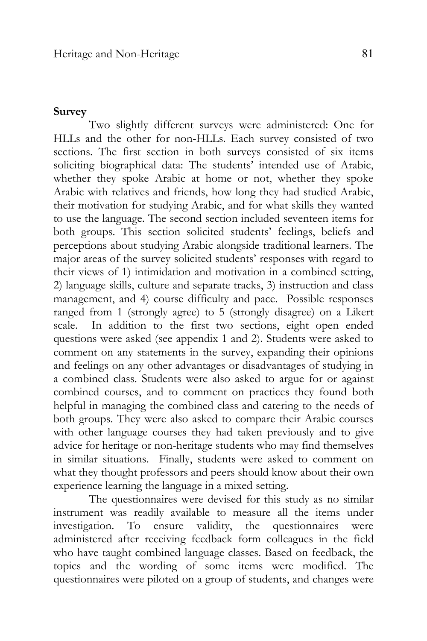#### **Survey**

Two slightly different surveys were administered: One for HLLs and the other for non-HLLs. Each survey consisted of two sections. The first section in both surveys consisted of six items soliciting biographical data: The students' intended use of Arabic, whether they spoke Arabic at home or not, whether they spoke Arabic with relatives and friends, how long they had studied Arabic, their motivation for studying Arabic, and for what skills they wanted to use the language. The second section included seventeen items for both groups. This section solicited students' feelings, beliefs and perceptions about studying Arabic alongside traditional learners. The major areas of the survey solicited students' responses with regard to their views of 1) intimidation and motivation in a combined setting, 2) language skills, culture and separate tracks, 3) instruction and class management, and 4) course difficulty and pace. Possible responses ranged from 1 (strongly agree) to 5 (strongly disagree) on a Likert scale. In addition to the first two sections, eight open ended questions were asked (see appendix 1 and 2). Students were asked to comment on any statements in the survey, expanding their opinions and feelings on any other advantages or disadvantages of studying in a combined class. Students were also asked to argue for or against combined courses, and to comment on practices they found both helpful in managing the combined class and catering to the needs of both groups. They were also asked to compare their Arabic courses with other language courses they had taken previously and to give advice for heritage or non-heritage students who may find themselves in similar situations. Finally, students were asked to comment on what they thought professors and peers should know about their own experience learning the language in a mixed setting.

The questionnaires were devised for this study as no similar instrument was readily available to measure all the items under investigation. To ensure validity, the questionnaires were administered after receiving feedback form colleagues in the field who have taught combined language classes. Based on feedback, the topics and the wording of some items were modified. The questionnaires were piloted on a group of students, and changes were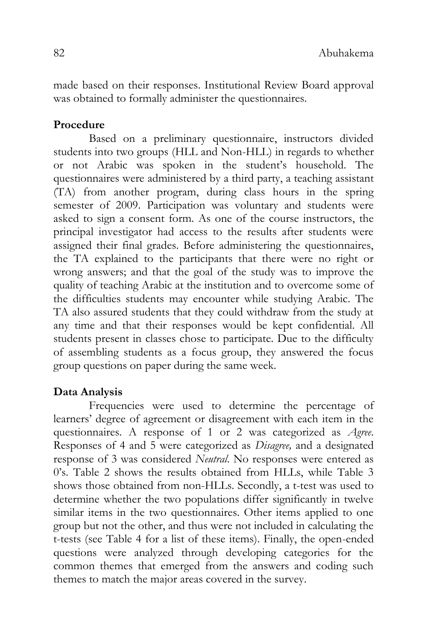made based on their responses. Institutional Review Board approval was obtained to formally administer the questionnaires.

# **Procedure**

Based on a preliminary questionnaire, instructors divided students into two groups (HLL and Non-HLL) in regards to whether or not Arabic was spoken in the student's household. The questionnaires were administered by a third party, a teaching assistant (TA) from another program, during class hours in the spring semester of 2009. Participation was voluntary and students were asked to sign a consent form. As one of the course instructors, the principal investigator had access to the results after students were assigned their final grades. Before administering the questionnaires, the TA explained to the participants that there were no right or wrong answers; and that the goal of the study was to improve the quality of teaching Arabic at the institution and to overcome some of the difficulties students may encounter while studying Arabic. The TA also assured students that they could withdraw from the study at any time and that their responses would be kept confidential. All students present in classes chose to participate. Due to the difficulty of assembling students as a focus group, they answered the focus group questions on paper during the same week.

# **Data Analysis**

Frequencies were used to determine the percentage of learners' degree of agreement or disagreement with each item in the questionnaires. A response of 1 or 2 was categorized as *Agree*. Responses of 4 and 5 were categorized as *Disagree,* and a designated response of 3 was considered *Neutral*. No responses were entered as 0's. Table 2 shows the results obtained from HLLs, while Table 3 shows those obtained from non-HLLs. Secondly, a t-test was used to determine whether the two populations differ significantly in twelve similar items in the two questionnaires. Other items applied to one group but not the other, and thus were not included in calculating the t-tests (see Table 4 for a list of these items). Finally, the open-ended questions were analyzed through developing categories for the common themes that emerged from the answers and coding such themes to match the major areas covered in the survey.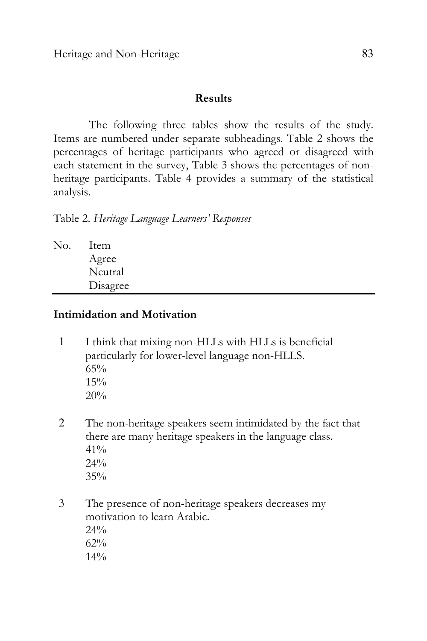Heritage and Non-Heritage 83

#### **Results**

The following three tables show the results of the study. Items are numbered under separate subheadings. Table 2 shows the percentages of heritage participants who agreed or disagreed with each statement in the survey, Table 3 shows the percentages of nonheritage participants. Table 4 provides a summary of the statistical analysis.

Table 2. *Heritage Language Learners' Responses*

| No. | 1tem     |
|-----|----------|
|     | Agree    |
|     | Neutral  |
|     | Disagree |
|     |          |

### **Intimidation and Motivation**

- 1 I think that mixing non-HLLs with HLLs is beneficial particularly for lower-level language non-HLLS.  $65%$  $15\%$ 20%
- 2 The non-heritage speakers seem intimidated by the fact that there are many heritage speakers in the language class. 41% 24% 35%
- 3 The presence of non-heritage speakers decreases my motivation to learn Arabic. 24% 62% 14%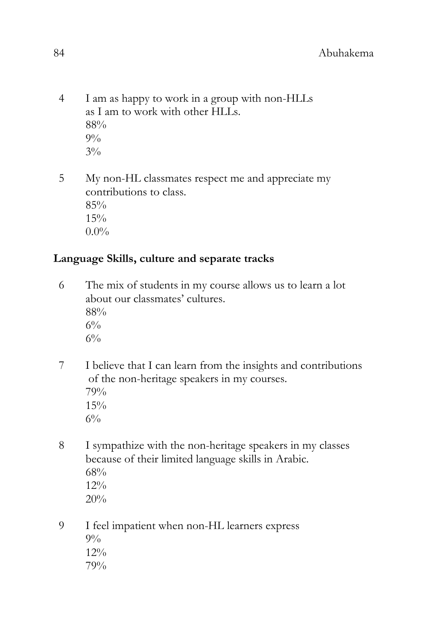4 I am as happy to work in a group with non-HLLs as I am to work with other HLLs. 88%  $9\%$  $3\%$ 

5 My non-HL classmates respect me and appreciate my contributions to class. 85% 15%  $0.0\%$ 

# **Language Skills, culture and separate tracks**

- 6 The mix of students in my course allows us to learn a lot about our classmates' cultures. 88%  $6\%$  $6\%$
- 7 I believe that I can learn from the insights and contributions of the non-heritage speakers in my courses. 79% 15%  $6\%$
- 8 I sympathize with the non-heritage speakers in my classes because of their limited language skills in Arabic. 68% 12% 20%
- 9 I feel impatient when non-HL learners express  $9\%$ 12% 79%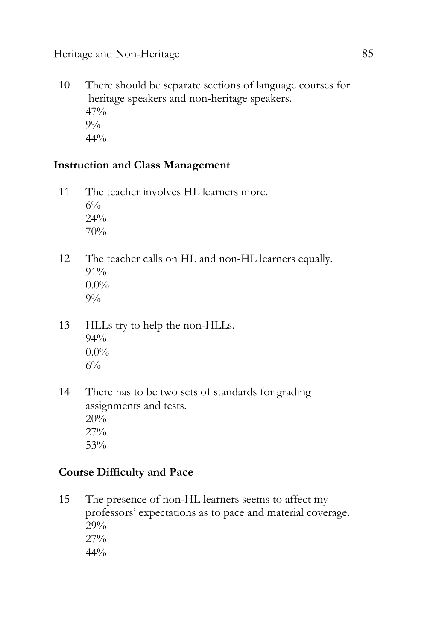10 There should be separate sections of language courses for heritage speakers and non-heritage speakers. 47%  $9\%$  $44%$ 

# **Instruction and Class Management**

- 11 The teacher involves HL learners more.  $6\%$ 24% 70%
- 12 The teacher calls on HL and non-HL learners equally.  $91\%$  $0.0\%$  $9\%$
- 13 HLLs try to help the non-HLLs. 94%  $0.0\%$  $6\%$
- 14 There has to be two sets of standards for grading assignments and tests. 20% 27% 53%

# **Course Difficulty and Pace**

15 The presence of non-HL learners seems to affect my professors' expectations as to pace and material coverage. 29% 27%  $44%$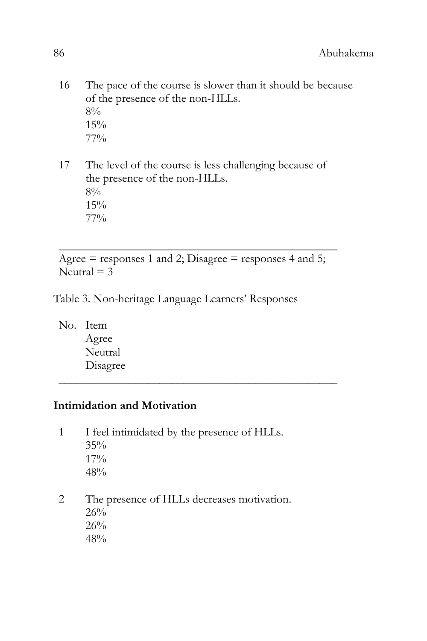- 16 The pace of the course is slower than it should be because of the presence of the non-HLLs.  $8\%$ 15% 77%
- 17 The level of the course is less challenging because of the presence of the non-HLLs. 8% 15% 77%

Agree  $=$  responses 1 and 2; Disagree  $=$  responses 4 and 5; Neutral  $=$  3

\_\_\_\_\_\_\_\_\_\_\_\_\_\_\_\_\_\_\_\_\_\_\_\_\_\_\_\_\_\_\_\_\_\_\_\_\_\_\_\_\_\_\_\_\_\_\_

\_\_\_\_\_\_\_\_\_\_\_\_\_\_\_\_\_\_\_\_\_\_\_\_\_\_\_\_\_\_\_\_\_\_\_\_\_\_\_\_\_\_\_\_\_\_\_

- Table 3. Non-heritage Language Learners' Responses
	- No. Item Agree Neutral Disagree

## **Intimidation and Motivation**

- 1 I feel intimidated by the presence of HLLs. 35% 17% 48%
- 2 The presence of HLLs decreases motivation. 26% 26% 48%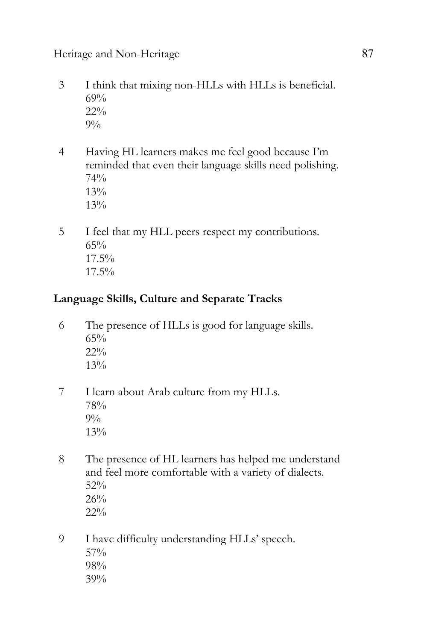# Heritage and Non-Heritage 87

- 3 I think that mixing non-HLLs with HLLs is beneficial. 69% 22%  $9\%$
- 4 Having HL learners makes me feel good because I'm reminded that even their language skills need polishing. 74% 13% 13%
- 5 I feel that my HLL peers respect my contributions. 65% 17.5% 17.5%

# **Language Skills, Culture and Separate Tracks**

- 6 The presence of HLLs is good for language skills. 65% 22% 13%
- 7 I learn about Arab culture from my HLLs. 78%  $9\%$ 13%
- 8 The presence of HL learners has helped me understand and feel more comfortable with a variety of dialects. 52% 26% 22%
- 9 I have difficulty understanding HLLs' speech. 57% 98% 39%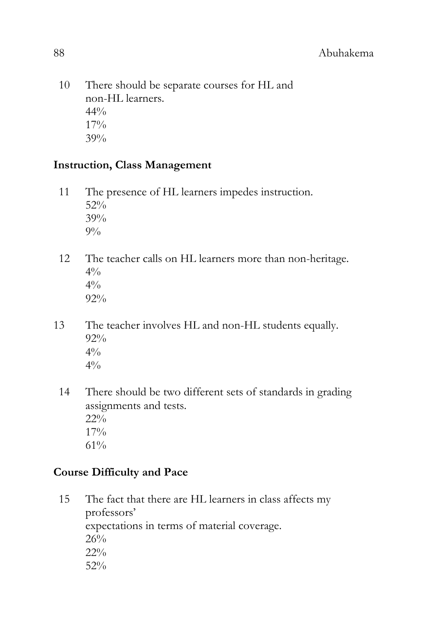10 There should be separate courses for HL and non-HL learners.  $44\%$ 17% 39%

# **Instruction, Class Management**

- 11 The presence of HL learners impedes instruction. 52% 39%  $9\%$
- 12 The teacher calls on HL learners more than non-heritage.  $4\%$  $4\frac{0}{0}$ 92%
- 13 The teacher involves HL and non-HL students equally. 92%  $4\frac{0}{0}$  $4\frac{0}{0}$ 
	- 14 There should be two different sets of standards in grading assignments and tests. 22% 17% 61%

# **Course Difficulty and Pace**

15 The fact that there are HL learners in class affects my professors' expectations in terms of material coverage. 26% 22% 52%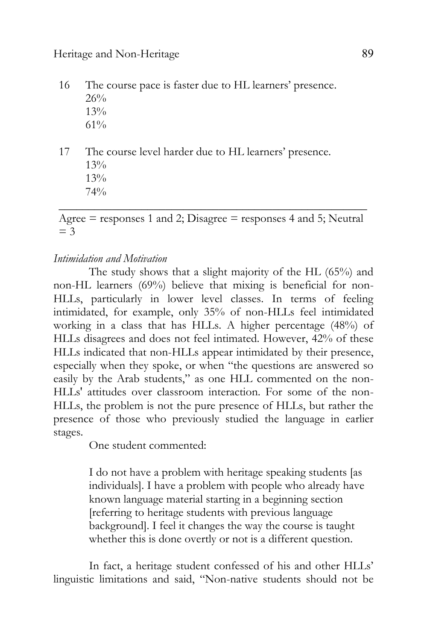16 The course pace is faster due to HL learners' presence. 26% 13% 61%

17 The course level harder due to HL learners' presence. 13% 13% 74% \_\_\_\_\_\_\_\_\_\_\_\_\_\_\_\_\_\_\_\_\_\_\_\_\_\_\_\_\_\_\_\_\_\_\_\_\_\_\_\_\_\_\_\_\_\_\_\_\_\_\_\_

Agree  $=$  responses 1 and 2; Disagree  $=$  responses 4 and 5; Neutral  $=$  3

#### *Intimidation and Motivation*

The study shows that a slight majority of the HL (65%) and non-HL learners (69%) believe that mixing is beneficial for non-HLLs, particularly in lower level classes. In terms of feeling intimidated, for example, only 35% of non-HLLs feel intimidated working in a class that has HLLs. A higher percentage (48%) of HLLs disagrees and does not feel intimated. However, 42% of these HLLs indicated that non-HLLs appear intimidated by their presence, especially when they spoke, or when "the questions are answered so easily by the Arab students," as one HLL commented on the non-HLLs' attitudes over classroom interaction. For some of the non-HLLs, the problem is not the pure presence of HLLs, but rather the presence of those who previously studied the language in earlier stages.

One student commented:

I do not have a problem with heritage speaking students [as individuals]. I have a problem with people who already have known language material starting in a beginning section [referring to heritage students with previous language background]. I feel it changes the way the course is taught whether this is done overtly or not is a different question.

In fact, a heritage student confessed of his and other HLLs' linguistic limitations and said, "Non-native students should not be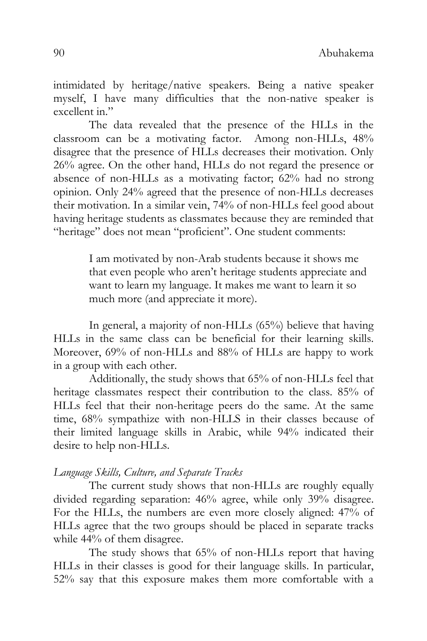intimidated by heritage/native speakers. Being a native speaker myself, I have many difficulties that the non-native speaker is excellent in."

The data revealed that the presence of the HLLs in the classroom can be a motivating factor. Among non-HLLs, 48% disagree that the presence of HLLs decreases their motivation. Only 26% agree. On the other hand, HLLs do not regard the presence or absence of non-HLLs as a motivating factor; 62% had no strong opinion. Only 24% agreed that the presence of non-HLLs decreases their motivation. In a similar vein, 74% of non-HLLs feel good about having heritage students as classmates because they are reminded that "heritage" does not mean "proficient". One student comments:

> I am motivated by non-Arab students because it shows me that even people who aren't heritage students appreciate and want to learn my language. It makes me want to learn it so much more (and appreciate it more).

In general, a majority of non-HLLs (65%) believe that having HLLs in the same class can be beneficial for their learning skills. Moreover, 69% of non-HLLs and 88% of HLLs are happy to work in a group with each other.

Additionally, the study shows that 65% of non-HLLs feel that heritage classmates respect their contribution to the class. 85% of HLLs feel that their non-heritage peers do the same. At the same time,  $68\%$  sympathize with non-HLLS in their classes because of their limited language skills in Arabic, while 94% indicated their desire to help non-HLLs.

#### *Language Skills, Culture, and Separate Tracks*

The current study shows that non-HLLs are roughly equally divided regarding separation: 46% agree, while only 39% disagree. For the HLLs, the numbers are even more closely aligned: 47% of HLLs agree that the two groups should be placed in separate tracks while 44% of them disagree.

The study shows that 65% of non-HLLs report that having HLLs in their classes is good for their language skills. In particular, 52% say that this exposure makes them more comfortable with a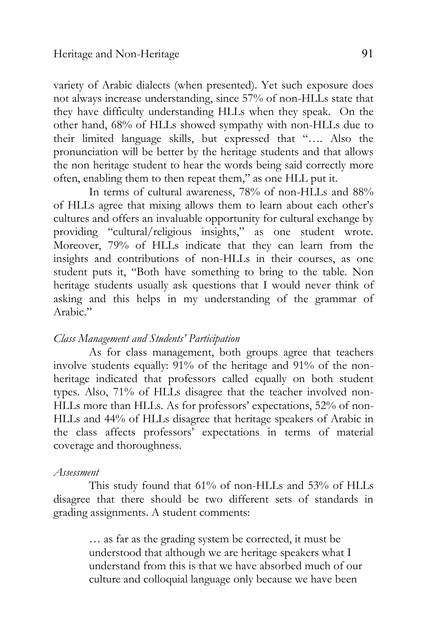variety of Arabic dialects (when presented). Yet such exposure does not always increase understanding, since 57% of non-HLLs state that they have difficulty understanding HLLs when they speak. On the other hand, 68% of HLLs showed sympathy with non-HLLs due to their limited language skills, but expressed that "…. Also the pronunciation will be better by the heritage students and that allows the non heritage student to hear the words being said correctly more often, enabling them to then repeat them," as one HLL put it.

In terms of cultural awareness, 78% of non-HLLs and 88% of HLLs agree that mixing allows them to learn about each other's cultures and offers an invaluable opportunity for cultural exchange by providing "cultural/religious insights," as one student wrote. Moreover, 79% of HLLs indicate that they can learn from the insights and contributions of non-HLLs in their courses, as one student puts it, "Both have something to bring to the table. Non heritage students usually ask questions that I would never think of asking and this helps in my understanding of the grammar of Arabic."

### *Class Management and Students' Participation*

As for class management, both groups agree that teachers involve students equally: 91% of the heritage and 91% of the nonheritage indicated that professors called equally on both student types. Also, 71% of HLLs disagree that the teacher involved non-HLLs more than HLLs. As for professors' expectations, 52% of non-HLLs and 44% of HLLs disagree that heritage speakers of Arabic in the class affects professors' expectations in terms of material coverage and thoroughness.

#### *Assessment*

This study found that 61% of non-HLLs and 53% of HLLs disagree that there should be two different sets of standards in grading assignments. A student comments:

> … as far as the grading system be corrected, it must be understood that although we are heritage speakers what I understand from this is that we have absorbed much of our culture and colloquial language only because we have been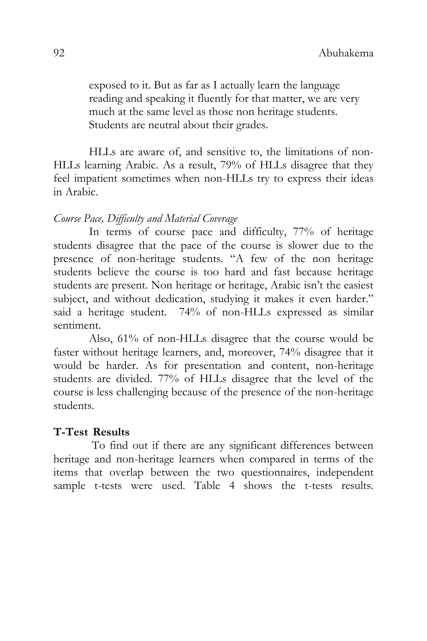exposed to it. But as far as I actually learn the language reading and speaking it fluently for that matter, we are very much at the same level as those non heritage students. Students are neutral about their grades.

HLLs are aware of, and sensitive to, the limitations of non-HLLs learning Arabic. As a result, 79% of HLLs disagree that they feel impatient sometimes when non-HLLs try to express their ideas in Arabic.

#### *Course Pace, Difficulty and Material Coverage*

In terms of course pace and difficulty, 77% of heritage students disagree that the pace of the course is slower due to the presence of non-heritage students. "A few of the non heritage students believe the course is too hard and fast because heritage students are present. Non heritage or heritage, Arabic isn't the easiest subject, and without dedication, studying it makes it even harder." said a heritage student. 74% of non-HLLs expressed as similar sentiment.

Also, 61% of non-HLLs disagree that the course would be faster without heritage learners, and, moreover, 74% disagree that it would be harder. As for presentation and content, non-heritage students are divided. 77% of HLLs disagree that the level of the course is less challenging because of the presence of the non-heritage students.

### **T-Test Results**

To find out if there are any significant differences between heritage and non-heritage learners when compared in terms of the items that overlap between the two questionnaires, independent sample t-tests were used. Table 4 shows the t-tests results.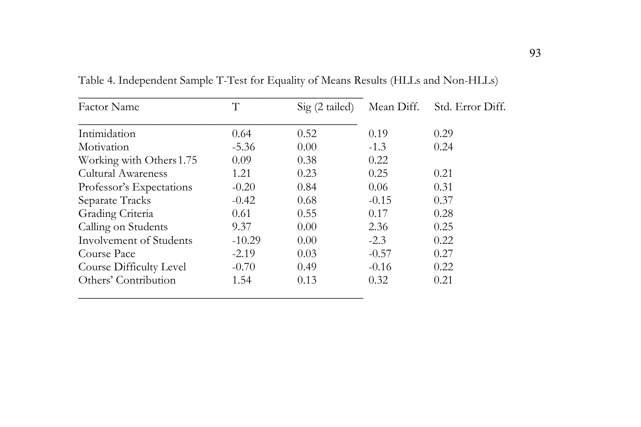| <b>Factor Name</b>        | T        | $Sig(2-tailed)$ | Mean Diff. | Std. Error Diff. |
|---------------------------|----------|-----------------|------------|------------------|
| Intimidation              | 0.64     | 0.52            | 0.19       | 0.29             |
| Motivation                | $-5.36$  | 0.00            | $-1.3$     | 0.24             |
| Working with Others 1.75  | 0.09     | 0.38            | 0.22       |                  |
| <b>Cultural Awareness</b> | 1.21     | 0.23            | 0.25       | 0.21             |
| Professor's Expectations  | $-0.20$  | 0.84            | 0.06       | 0.31             |
| Separate Tracks           | $-0.42$  | 0.68            | $-0.15$    | 0.37             |
| Grading Criteria          | 0.61     | 0.55            | 0.17       | 0.28             |
| Calling on Students       | 9.37     | 0.00            | 2.36       | 0.25             |
| Involvement of Students   | $-10.29$ | 0.00            | $-2.3$     | 0.22             |
| Course Pace               | $-2.19$  | 0.03            | $-0.57$    | 0.27             |
| Course Difficulty Level   | $-0.70$  | 0.49            | $-0.16$    | 0.22             |
| Others' Contribution      | 1.54     | 0.13            | 0.32       | 0.21             |

Table 4. Independent Sample T-Test for Equality of Means Results (HLLs and Non-HLLs)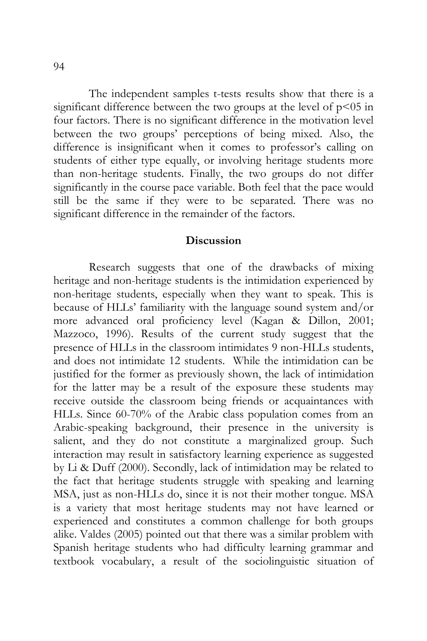The independent samples t-tests results show that there is a significant difference between the two groups at the level of  $p<05$  in four factors. There is no significant difference in the motivation level between the two groups' perceptions of being mixed. Also, the difference is insignificant when it comes to professor's calling on students of either type equally, or involving heritage students more than non-heritage students. Finally, the two groups do not differ significantly in the course pace variable. Both feel that the pace would still be the same if they were to be separated. There was no significant difference in the remainder of the factors.

#### **Discussion**

Research suggests that one of the drawbacks of mixing heritage and non-heritage students is the intimidation experienced by non-heritage students, especially when they want to speak. This is because of HLLs' familiarity with the language sound system and/or more advanced oral proficiency level (Kagan & Dillon, 2001; Mazzoco, 1996). Results of the current study suggest that the presence of HLLs in the classroom intimidates 9 non-HLLs students, and does not intimidate 12 students. While the intimidation can be justified for the former as previously shown, the lack of intimidation for the latter may be a result of the exposure these students may receive outside the classroom being friends or acquaintances with HLLs. Since 60-70% of the Arabic class population comes from an Arabic-speaking background, their presence in the university is salient, and they do not constitute a marginalized group. Such interaction may result in satisfactory learning experience as suggested by Li & Duff (2000). Secondly, lack of intimidation may be related to the fact that heritage students struggle with speaking and learning MSA, just as non-HLLs do, since it is not their mother tongue. MSA is a variety that most heritage students may not have learned or experienced and constitutes a common challenge for both groups alike. Valdes (2005) pointed out that there was a similar problem with Spanish heritage students who had difficulty learning grammar and textbook vocabulary, a result of the sociolinguistic situation of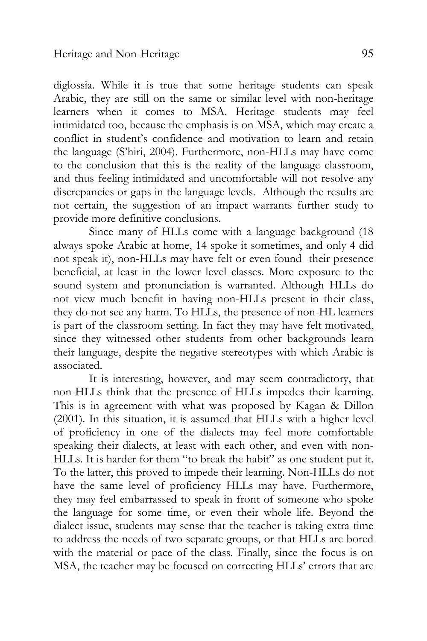diglossia. While it is true that some heritage students can speak Arabic, they are still on the same or similar level with non-heritage learners when it comes to MSA. Heritage students may feel intimidated too, because the emphasis is on MSA, which may create a conflict in student's confidence and motivation to learn and retain the language (S'hiri, 2004). Furthermore, non-HLLs may have come to the conclusion that this is the reality of the language classroom, and thus feeling intimidated and uncomfortable will not resolve any discrepancies or gaps in the language levels. Although the results are not certain, the suggestion of an impact warrants further study to provide more definitive conclusions.

 Since many of HLLs come with a language background (18 always spoke Arabic at home, 14 spoke it sometimes, and only 4 did not speak it), non-HLLs may have felt or even found their presence beneficial, at least in the lower level classes. More exposure to the sound system and pronunciation is warranted. Although HLLs do not view much benefit in having non-HLLs present in their class, they do not see any harm. To HLLs, the presence of non-HL learners is part of the classroom setting. In fact they may have felt motivated, since they witnessed other students from other backgrounds learn their language, despite the negative stereotypes with which Arabic is associated.

It is interesting, however, and may seem contradictory, that non-HLLs think that the presence of HLLs impedes their learning. This is in agreement with what was proposed by Kagan & Dillon (2001). In this situation, it is assumed that HLLs with a higher level of proficiency in one of the dialects may feel more comfortable speaking their dialects, at least with each other, and even with non-HLLs. It is harder for them "to break the habit" as one student put it. To the latter, this proved to impede their learning. Non-HLLs do not have the same level of proficiency HLLs may have. Furthermore, they may feel embarrassed to speak in front of someone who spoke the language for some time, or even their whole life. Beyond the dialect issue, students may sense that the teacher is taking extra time to address the needs of two separate groups, or that HLLs are bored with the material or pace of the class. Finally, since the focus is on MSA, the teacher may be focused on correcting HLLs' errors that are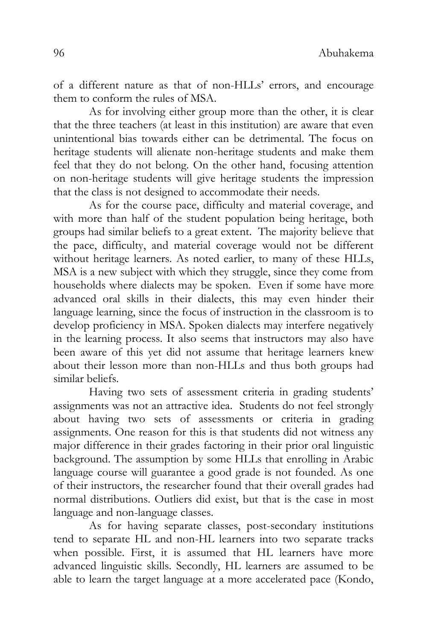of a different nature as that of non-HLLs' errors, and encourage them to conform the rules of MSA.

As for involving either group more than the other, it is clear that the three teachers (at least in this institution) are aware that even unintentional bias towards either can be detrimental. The focus on heritage students will alienate non-heritage students and make them feel that they do not belong. On the other hand, focusing attention on non-heritage students will give heritage students the impression that the class is not designed to accommodate their needs.

As for the course pace, difficulty and material coverage, and with more than half of the student population being heritage, both groups had similar beliefs to a great extent. The majority believe that the pace, difficulty, and material coverage would not be different without heritage learners. As noted earlier, to many of these HLLs, MSA is a new subject with which they struggle, since they come from households where dialects may be spoken. Even if some have more advanced oral skills in their dialects, this may even hinder their language learning, since the focus of instruction in the classroom is to develop proficiency in MSA. Spoken dialects may interfere negatively in the learning process. It also seems that instructors may also have been aware of this yet did not assume that heritage learners knew about their lesson more than non-HLLs and thus both groups had similar beliefs.

Having two sets of assessment criteria in grading students' assignments was not an attractive idea. Students do not feel strongly about having two sets of assessments or criteria in grading assignments. One reason for this is that students did not witness any major difference in their grades factoring in their prior oral linguistic background. The assumption by some HLLs that enrolling in Arabic language course will guarantee a good grade is not founded. As one of their instructors, the researcher found that their overall grades had normal distributions. Outliers did exist, but that is the case in most language and non-language classes.

As for having separate classes, post-secondary institutions tend to separate HL and non-HL learners into two separate tracks when possible. First, it is assumed that HL learners have more advanced linguistic skills. Secondly, HL learners are assumed to be able to learn the target language at a more accelerated pace (Kondo,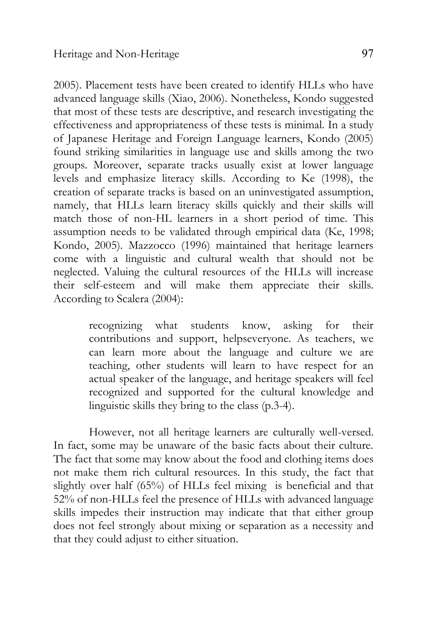2005). Placement tests have been created to identify HLLs who have advanced language skills (Xiao, 2006). Nonetheless, Kondo suggested that most of these tests are descriptive, and research investigating the effectiveness and appropriateness of these tests is minimal. In a study of Japanese Heritage and Foreign Language learners, Kondo (2005) found striking similarities in language use and skills among the two groups. Moreover, separate tracks usually exist at lower language levels and emphasize literacy skills. According to Ke (1998), the creation of separate tracks is based on an uninvestigated assumption, namely, that HLLs learn literacy skills quickly and their skills will match those of non-HL learners in a short period of time. This assumption needs to be validated through empirical data (Ke, 1998; Kondo, 2005). Mazzocco (1996) maintained that heritage learners come with a linguistic and cultural wealth that should not be neglected. Valuing the cultural resources of the HLLs will increase their self-esteem and will make them appreciate their skills. According to Scalera (2004):

> recognizing what students know, asking for their contributions and support, helpseveryone. As teachers, we can learn more about the language and culture we are teaching, other students will learn to have respect for an actual speaker of the language, and heritage speakers will feel recognized and supported for the cultural knowledge and linguistic skills they bring to the class (p.3-4).

However, not all heritage learners are culturally well-versed. In fact, some may be unaware of the basic facts about their culture. The fact that some may know about the food and clothing items does not make them rich cultural resources. In this study, the fact that slightly over half (65%) of HLLs feel mixing is beneficial and that 52% of non-HLLs feel the presence of HLLs with advanced language skills impedes their instruction may indicate that that either group does not feel strongly about mixing or separation as a necessity and that they could adjust to either situation.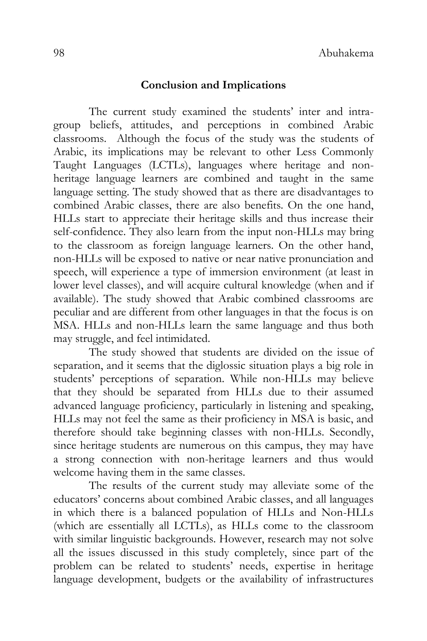### **Conclusion and Implications**

The current study examined the students' inter and intragroup beliefs, attitudes, and perceptions in combined Arabic classrooms. Although the focus of the study was the students of Arabic, its implications may be relevant to other Less Commonly Taught Languages (LCTLs), languages where heritage and nonheritage language learners are combined and taught in the same language setting. The study showed that as there are disadvantages to combined Arabic classes, there are also benefits. On the one hand, HLLs start to appreciate their heritage skills and thus increase their self-confidence. They also learn from the input non-HLLs may bring to the classroom as foreign language learners. On the other hand, non-HLLs will be exposed to native or near native pronunciation and speech, will experience a type of immersion environment (at least in lower level classes), and will acquire cultural knowledge (when and if available). The study showed that Arabic combined classrooms are peculiar and are different from other languages in that the focus is on MSA. HLLs and non-HLLs learn the same language and thus both may struggle, and feel intimidated.

The study showed that students are divided on the issue of separation, and it seems that the diglossic situation plays a big role in students' perceptions of separation. While non-HLLs may believe that they should be separated from HLLs due to their assumed advanced language proficiency, particularly in listening and speaking, HLLs may not feel the same as their proficiency in MSA is basic, and therefore should take beginning classes with non-HLLs. Secondly, since heritage students are numerous on this campus, they may have a strong connection with non-heritage learners and thus would welcome having them in the same classes.

The results of the current study may alleviate some of the educators' concerns about combined Arabic classes, and all languages in which there is a balanced population of HLLs and Non-HLLs (which are essentially all LCTLs), as HLLs come to the classroom with similar linguistic backgrounds. However, research may not solve all the issues discussed in this study completely, since part of the problem can be related to students' needs, expertise in heritage language development, budgets or the availability of infrastructures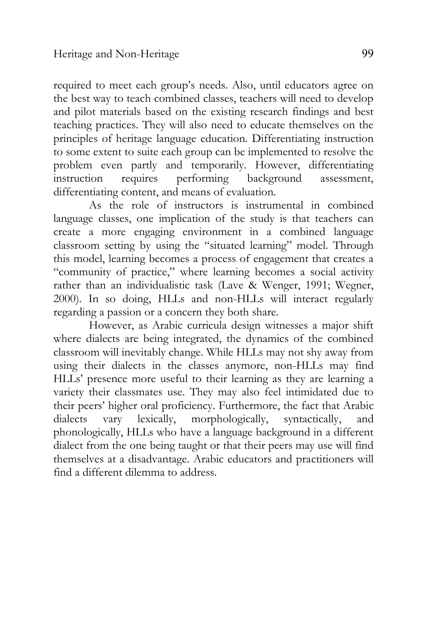required to meet each group's needs. Also, until educators agree on the best way to teach combined classes, teachers will need to develop and pilot materials based on the existing research findings and best teaching practices. They will also need to educate themselves on the principles of heritage language education. Differentiating instruction to some extent to suite each group can be implemented to resolve the problem even partly and temporarily. However, differentiating instruction requires performing background assessment, differentiating content, and means of evaluation.

As the role of instructors is instrumental in combined language classes, one implication of the study is that teachers can create a more engaging environment in a combined language classroom setting by using the "situated learning" model. Through this model, learning becomes a process of engagement that creates a "community of practice," where learning becomes a social activity rather than an individualistic task (Lave & Wenger, 1991; Wegner, 2000). In so doing, HLLs and non-HLLs will interact regularly regarding a passion or a concern they both share.

However, as Arabic curricula design witnesses a major shift where dialects are being integrated, the dynamics of the combined classroom will inevitably change. While HLLs may not shy away from using their dialects in the classes anymore, non-HLLs may find HLLs' presence more useful to their learning as they are learning a variety their classmates use. They may also feel intimidated due to their peers' higher oral proficiency. Furthermore, the fact that Arabic dialects vary lexically, morphologically, syntactically, and phonologically, HLLs who have a language background in a different dialect from the one being taught or that their peers may use will find themselves at a disadvantage. Arabic educators and practitioners will find a different dilemma to address.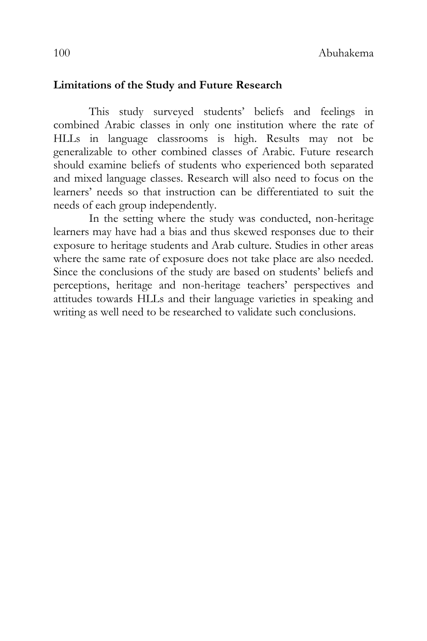## **Limitations of the Study and Future Research**

This study surveyed students' beliefs and feelings in combined Arabic classes in only one institution where the rate of HLLs in language classrooms is high. Results may not be generalizable to other combined classes of Arabic. Future research should examine beliefs of students who experienced both separated and mixed language classes. Research will also need to focus on the learners' needs so that instruction can be differentiated to suit the needs of each group independently.

In the setting where the study was conducted, non-heritage learners may have had a bias and thus skewed responses due to their exposure to heritage students and Arab culture. Studies in other areas where the same rate of exposure does not take place are also needed. Since the conclusions of the study are based on students' beliefs and perceptions, heritage and non-heritage teachers' perspectives and attitudes towards HLLs and their language varieties in speaking and writing as well need to be researched to validate such conclusions.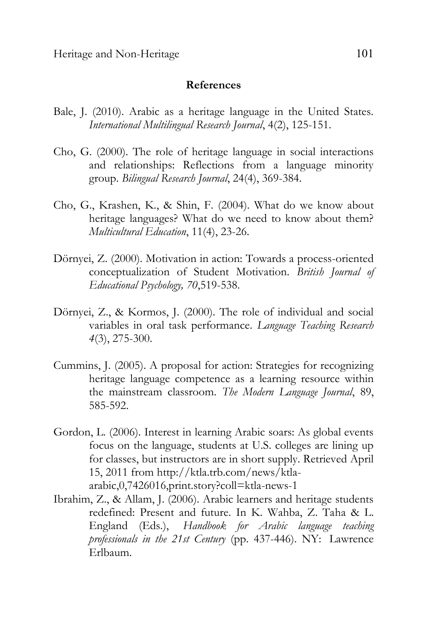#### **References**

- Bale, J. (2010). Arabic as a heritage language in the United States. *International Multilingual Research Journal*, 4(2), 125-151.
- Cho, G. (2000). The role of heritage language in social interactions and relationships: Reflections from a language minority group. *Bilingual Research Journal*, 24(4), 369-384.
- Cho, G., Krashen, K., & Shin, F. (2004). What do we know about heritage languages? What do we need to know about them? *Multicultural Education*, 11(4), 23-26.
- Dörnyei, Z. (2000). Motivation in action: Towards a process-oriented conceptualization of Student Motivation. *British Journal of Educational Psychology, 70*,519-538.
- Dörnyei, Z., & Kormos, J. (2000). The role of individual and social variables in oral task performance. *Language Teaching Research 4*(3), 275-300.
- Cummins, J. (2005). A proposal for action: Strategies for recognizing heritage language competence as a learning resource within the mainstream classroom. *The Modern Language Journal*, 89, 585-592.
- Gordon, L. (2006). Interest in learning Arabic soars: As global events focus on the language, students at U.S. colleges are lining up for classes, but instructors are in short supply. Retrieved April 15, 2011 from http://ktla.trb.com/news/ktlaarabic,0,7426016,print.story?coll=ktla-news-1
- Ibrahim, Z., & Allam, J. (2006). Arabic learners and heritage students redefined: Present and future. In K. Wahba, Z. Taha & L. England (Eds.), *Handbook for Arabic language teaching professionals in the 21st Century* (pp. 437-446). NY: Lawrence Erlbaum.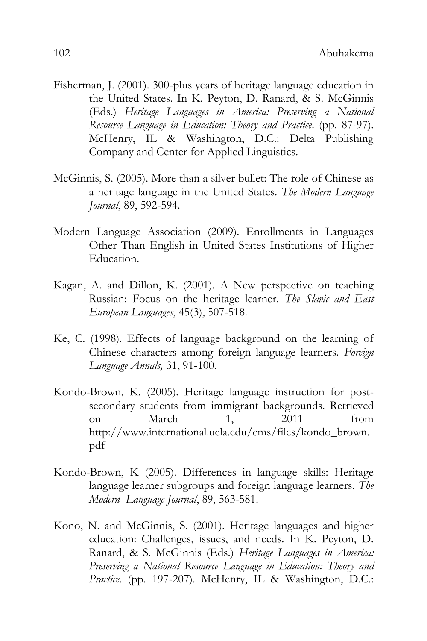- Fisherman, J. (2001). 300-plus years of heritage language education in the United States. In K. Peyton, D. Ranard, & S. McGinnis (Eds.) *Heritage Languages in America: Preserving a National Resource Language in Education: Theory and Practice*. (pp. 87-97). McHenry, IL & Washington, D.C.: Delta Publishing Company and Center for Applied Linguistics.
- McGinnis, S. (2005). More than a silver bullet: The role of Chinese as a heritage language in the United States. *The Modern Language Journal*, 89, 592-594.
- Modern Language Association (2009). Enrollments in Languages Other Than English in United States Institutions of Higher Education.
- Kagan, A. and Dillon, K. (2001). A New perspective on teaching Russian: Focus on the heritage learner. *The Slavic and East European Languages*, 45(3), 507-518.
- Ke, C. (1998). Effects of language background on the learning of Chinese characters among foreign language learners. *Foreign Language Annals,* 31, 91-100.
- Kondo-Brown, K. (2005). Heritage language instruction for postsecondary students from immigrant backgrounds. Retrieved on March 1, 2011 from http://www.international.ucla.edu/cms/files/kondo\_brown. pdf
- Kondo-Brown, K (2005). Differences in language skills: Heritage language learner subgroups and foreign language learners. *The Modern Language Journal*, 89, 563-581.
- Kono, N. and McGinnis, S. (2001). Heritage languages and higher education: Challenges, issues, and needs. In K. Peyton, D. Ranard, & S. McGinnis (Eds.) *Heritage Languages in America: Preserving a National Resource Language in Education: Theory and Practice*. (pp. 197-207). McHenry, IL & Washington, D.C.: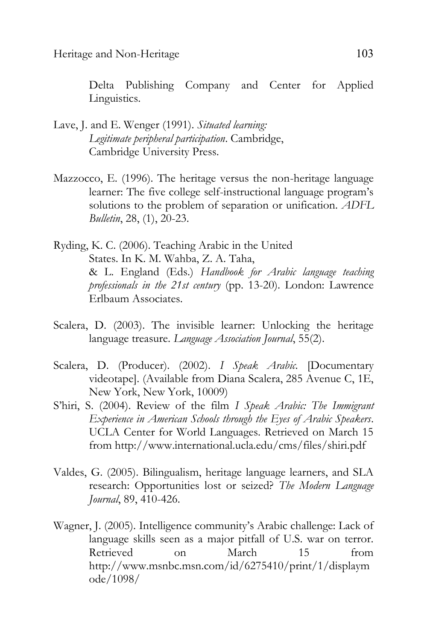Delta Publishing Company and Center for Applied Linguistics.

- Lave, J. and E. Wenger (1991). *Situated learning: Legitimate peripheral participation*. Cambridge, Cambridge University Press.
- Mazzocco, E. (1996). The heritage versus the non-heritage language learner: The five college self-instructional language program's solutions to the problem of separation or unification. *ADFL Bulletin*, 28, (1), 20-23.
- Ryding, K. C. (2006). Teaching Arabic in the United States. In K. M. Wahba, Z. A. Taha, & L. England (Eds.) *Handbook for Arabic language teaching professionals in the 21st century* (pp. 13-20). London: Lawrence Erlbaum Associates.
- Scalera, D. (2003). The invisible learner: Unlocking the heritage language treasure. *Language Association Journal*, 55(2).
- Scalera, D. (Producer). (2002). *I Speak Arabic.* [Documentary videotape]. (Available from Diana Scalera, 285 Avenue C, 1E, New York, New York, 10009)
- S'hiri, S. (2004). Review of the film *I Speak Arabic: The Immigrant Experience in American Schools through the Eyes of Arabic Speakers*. UCLA Center for World Languages. Retrieved on March 15 from http://www.international.ucla.edu/cms/files/shiri.pdf
- Valdes, G. (2005). Bilingualism, heritage language learners, and SLA research: Opportunities lost or seized? *The Modern Language Journal*, 89, 410-426.
- Wagner, J. (2005). Intelligence community's Arabic challenge: Lack of language skills seen as a major pitfall of U.S. war on terror. Retrieved on March 15 from http://www.msnbc.msn.com/id/6275410/print/1/displaym ode/1098/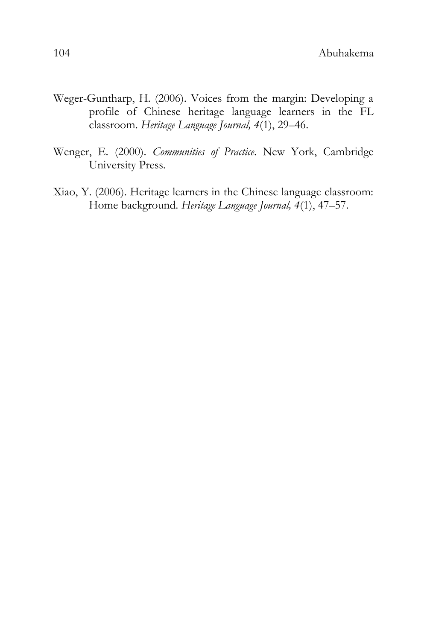- Weger-Guntharp, H. (2006). Voices from the margin: Developing a profile of Chinese heritage language learners in the FL classroom. *Heritage Language Journal, 4*(1), 29–46.
- Wenger, E. (2000). *Communities of Practice*. New York, Cambridge University Press.
- Xiao, Y. (2006). Heritage learners in the Chinese language classroom: Home background. *Heritage Language Journal, 4*(1), 47–57.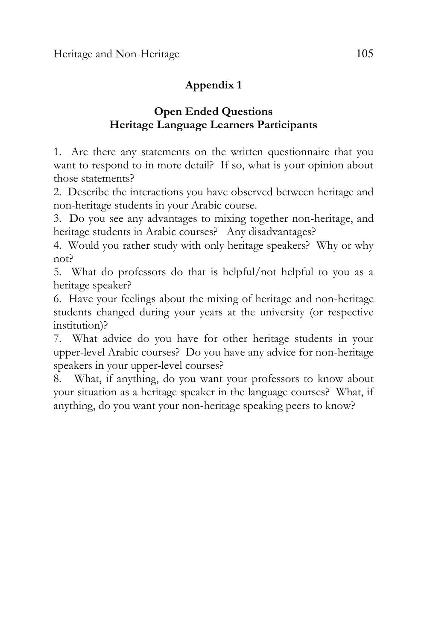# **Appendix 1**

# **Open Ended Questions Heritage Language Learners Participants**

1. Are there any statements on the written questionnaire that you want to respond to in more detail? If so, what is your opinion about those statements?

2. Describe the interactions you have observed between heritage and non-heritage students in your Arabic course.

3. Do you see any advantages to mixing together non-heritage, and heritage students in Arabic courses? Any disadvantages?

4. Would you rather study with only heritage speakers? Why or why not?

5. What do professors do that is helpful/not helpful to you as a heritage speaker?

6. Have your feelings about the mixing of heritage and non-heritage students changed during your years at the university (or respective institution)?

7. What advice do you have for other heritage students in your upper-level Arabic courses? Do you have any advice for non-heritage speakers in your upper-level courses?

8. What, if anything, do you want your professors to know about your situation as a heritage speaker in the language courses? What, if anything, do you want your non-heritage speaking peers to know?